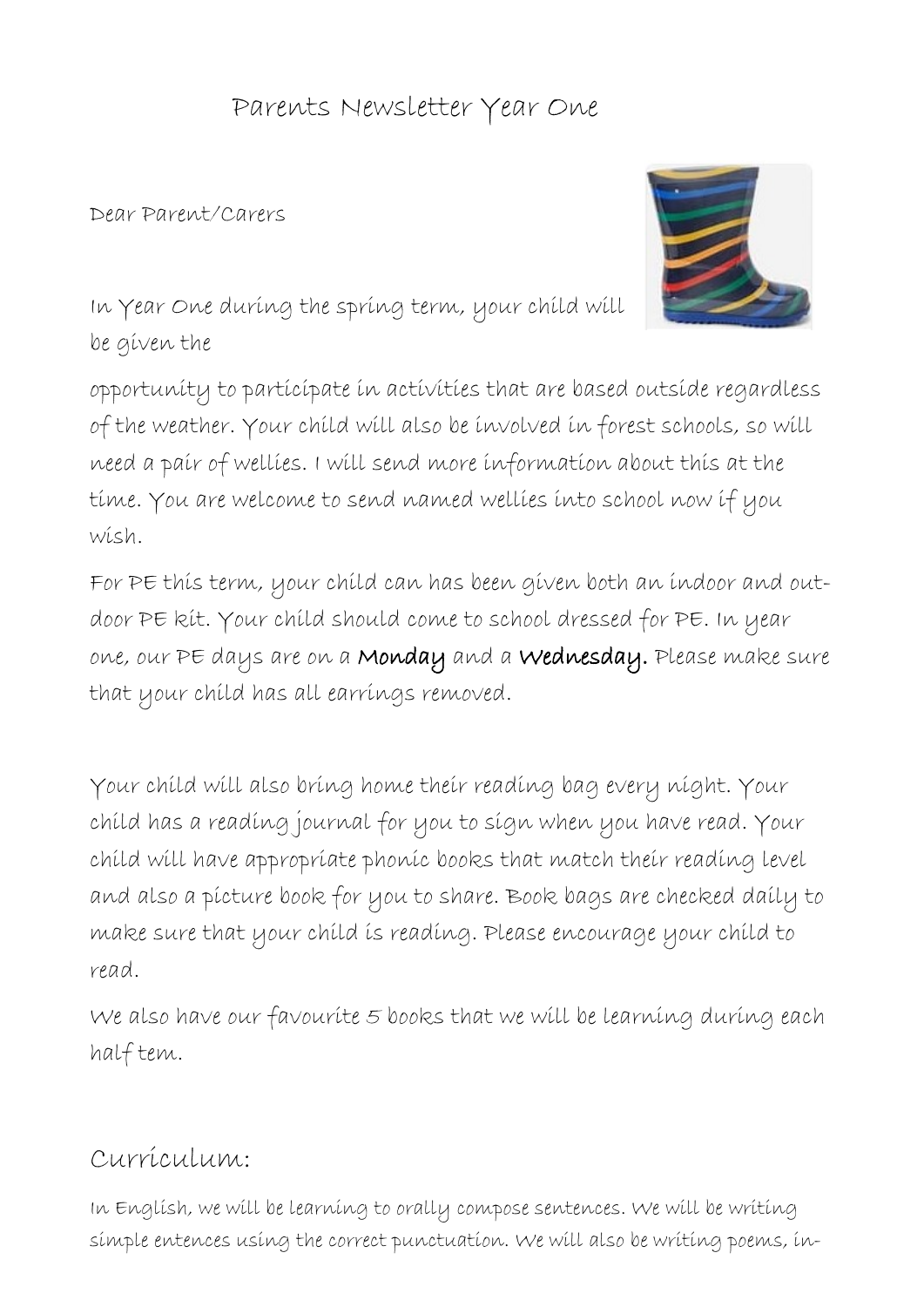## Parents Newsletter Year One

## Dear Parent/Carers



In Year One during the spring term, your child will be given the

opportunity to participate in activities that are based outside regardless of the weather. Your child will also be involved in forest schools, so will need a pair of wellies. I will send more information about this at the time. You are welcome to send named wellies into school now if you wish.

For PE this term, your child can has been given both an indoor and outdoor PE kit. Your child should come to school dressed for PE. In year one, our PE days are on a Monday and a Wednesday. Please make sure that your child has all earrings removed.

Your child will also bring home their reading bag every night. Your child has a reading journal for you to sign when you have read. Your child will have appropriate phonic books that match their reading level and also a picture book for you to share. Book bags are checked daily to make sure that your child is reading. Please encourage your child to read.

We also have our favourite 5 books that we will be learning during each half tem.

## Curriculum:

In English, we will be learning to orally compose sentences. We will be writing simple entences using the correct punctuation. We will also be writing poems, in-